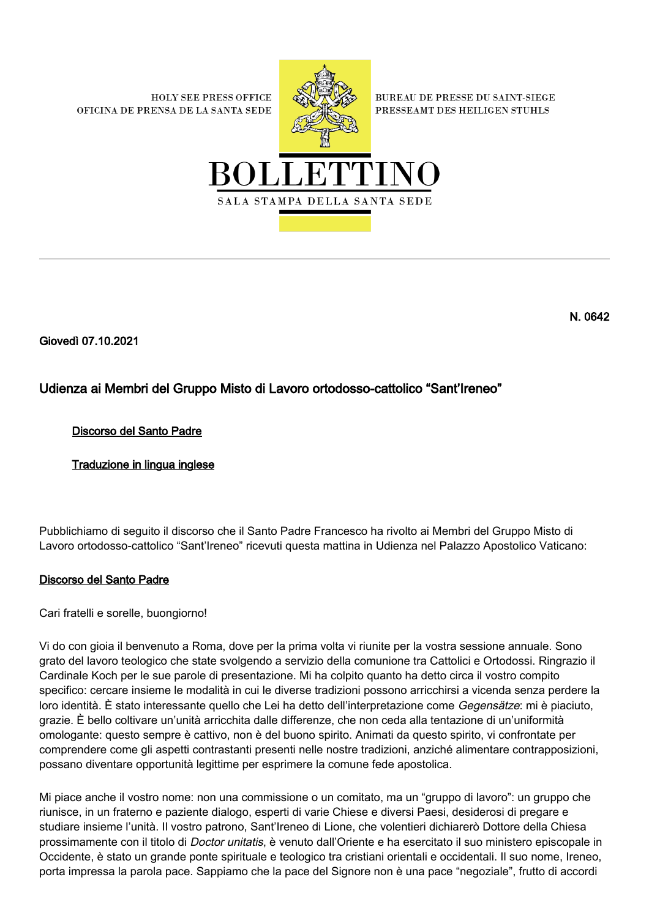**HOLY SEE PRESS OFFICE** OFICINA DE PRENSA DE LA SANTA SEDE



**BUREAU DE PRESSE DU SAINT-SIEGE** PRESSEAMT DES HEILIGEN STUHLS



N. 0642

Giovedì 07.10.2021

# Udienza ai Membri del Gruppo Misto di Lavoro ortodosso-cattolico "Sant'Ireneo"

## Discorso del Santo Padre

Traduzione in lingua inglese

Pubblichiamo di seguito il discorso che il Santo Padre Francesco ha rivolto ai Membri del Gruppo Misto di Lavoro ortodosso-cattolico "Sant'Ireneo" ricevuti questa mattina in Udienza nel Palazzo Apostolico Vaticano:

### Discorso del Santo Padre

Cari fratelli e sorelle, buongiorno!

Vi do con gioia il benvenuto a Roma, dove per la prima volta vi riunite per la vostra sessione annuale. Sono grato del lavoro teologico che state svolgendo a servizio della comunione tra Cattolici e Ortodossi. Ringrazio il Cardinale Koch per le sue parole di presentazione. Mi ha colpito quanto ha detto circa il vostro compito specifico: cercare insieme le modalità in cui le diverse tradizioni possono arricchirsi a vicenda senza perdere la loro identità. È stato interessante quello che Lei ha detto dell'interpretazione come Gegensätze: mi è piaciuto, grazie. È bello coltivare un'unità arricchita dalle differenze, che non ceda alla tentazione di un'uniformità omologante: questo sempre è cattivo, non è del buono spirito. Animati da questo spirito, vi confrontate per comprendere come gli aspetti contrastanti presenti nelle nostre tradizioni, anziché alimentare contrapposizioni, possano diventare opportunità legittime per esprimere la comune fede apostolica.

Mi piace anche il vostro nome: non una commissione o un comitato, ma un "gruppo di lavoro": un gruppo che riunisce, in un fraterno e paziente dialogo, esperti di varie Chiese e diversi Paesi, desiderosi di pregare e studiare insieme l'unità. Il vostro patrono, Sant'Ireneo di Lione, che volentieri dichiarerò Dottore della Chiesa prossimamente con il titolo di Doctor unitatis, è venuto dall'Oriente e ha esercitato il suo ministero episcopale in Occidente, è stato un grande ponte spirituale e teologico tra cristiani orientali e occidentali. Il suo nome, Ireneo, porta impressa la parola pace. Sappiamo che la pace del Signore non è una pace "negoziale", frutto di accordi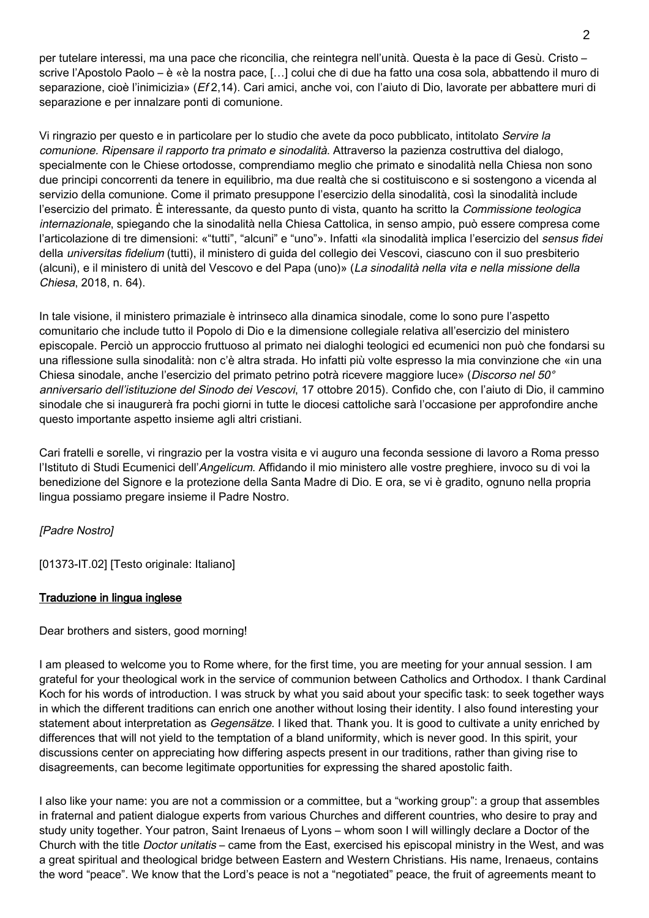per tutelare interessi, ma una pace che riconcilia, che reintegra nell'unità. Questa è la pace di Gesù. Cristo – scrive l'Apostolo Paolo – è «è la nostra pace, […] colui che di due ha fatto una cosa sola, abbattendo il muro di separazione, cioè l'inimicizia» (Ef 2,14). Cari amici, anche voi, con l'aiuto di Dio, lavorate per abbattere muri di separazione e per innalzare ponti di comunione.

Vi ringrazio per questo e in particolare per lo studio che avete da poco pubblicato, intitolato Servire la comunione. Ripensare il rapporto tra primato e sinodalità. Attraverso la pazienza costruttiva del dialogo, specialmente con le Chiese ortodosse, comprendiamo meglio che primato e sinodalità nella Chiesa non sono due principi concorrenti da tenere in equilibrio, ma due realtà che si costituiscono e si sostengono a vicenda al servizio della comunione. Come il primato presuppone l'esercizio della sinodalità, così la sinodalità include l'esercizio del primato. È interessante, da questo punto di vista, quanto ha scritto la Commissione teologica internazionale, spiegando che la sinodalità nella Chiesa Cattolica, in senso ampio, può essere compresa come l'articolazione di tre dimensioni: «"tutti", "alcuni" e "uno"». Infatti «la sinodalità implica l'esercizio del sensus fidei della universitas fidelium (tutti), il ministero di guida del collegio dei Vescovi, ciascuno con il suo presbiterio (alcuni), e il ministero di unità del Vescovo e del Papa (uno)» (La sinodalità nella vita e nella missione della Chiesa, 2018, n. 64).

In tale visione, il ministero primaziale è intrinseco alla dinamica sinodale, come lo sono pure l'aspetto comunitario che include tutto il Popolo di Dio e la dimensione collegiale relativa all'esercizio del ministero episcopale. Perciò un approccio fruttuoso al primato nei dialoghi teologici ed ecumenici non può che fondarsi su una riflessione sulla sinodalità: non c'è altra strada. Ho infatti più volte espresso la mia convinzione che «in una Chiesa sinodale, anche l'esercizio del primato petrino potrà ricevere maggiore luce» (Discorso nel 50° anniversario dell'istituzione del Sinodo dei Vescovi, 17 ottobre 2015). Confido che, con l'aiuto di Dio, il cammino sinodale che si inaugurerà fra pochi giorni in tutte le diocesi cattoliche sarà l'occasione per approfondire anche questo importante aspetto insieme agli altri cristiani.

Cari fratelli e sorelle, vi ringrazio per la vostra visita e vi auguro una feconda sessione di lavoro a Roma presso l'Istituto di Studi Ecumenici dell'Angelicum. Affidando il mio ministero alle vostre preghiere, invoco su di voi la benedizione del Signore e la protezione della Santa Madre di Dio. E ora, se vi è gradito, ognuno nella propria lingua possiamo pregare insieme il Padre Nostro.

### [Padre Nostro]

[01373-IT.02] [Testo originale: Italiano]

### Traduzione in lingua inglese

Dear brothers and sisters, good morning!

I am pleased to welcome you to Rome where, for the first time, you are meeting for your annual session. I am grateful for your theological work in the service of communion between Catholics and Orthodox. I thank Cardinal Koch for his words of introduction. I was struck by what you said about your specific task: to seek together ways in which the different traditions can enrich one another without losing their identity. I also found interesting your statement about interpretation as *Gegensätze*. I liked that. Thank you. It is good to cultivate a unity enriched by differences that will not yield to the temptation of a bland uniformity, which is never good. In this spirit, your discussions center on appreciating how differing aspects present in our traditions, rather than giving rise to disagreements, can become legitimate opportunities for expressing the shared apostolic faith.

I also like your name: you are not a commission or a committee, but a "working group": a group that assembles in fraternal and patient dialogue experts from various Churches and different countries, who desire to pray and study unity together. Your patron, Saint Irenaeus of Lyons – whom soon I will willingly declare a Doctor of the Church with the title *Doctor unitatis* – came from the East, exercised his episcopal ministry in the West, and was a great spiritual and theological bridge between Eastern and Western Christians. His name, Irenaeus, contains the word "peace". We know that the Lord's peace is not a "negotiated" peace, the fruit of agreements meant to